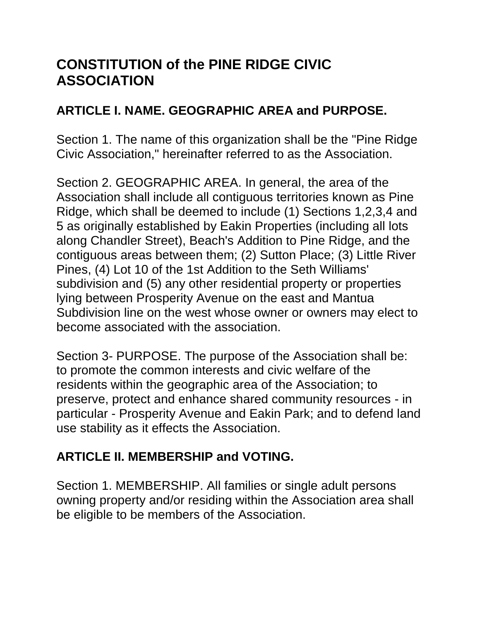# **CONSTITUTION of the PINE RIDGE CIVIC ASSOCIATION**

#### **ARTICLE I. NAME. GEOGRAPHIC AREA and PURPOSE.**

Section 1. The name of this organization shall be the "Pine Ridge Civic Association," hereinafter referred to as the Association.

Section 2. GEOGRAPHIC AREA. In general, the area of the Association shall include all contiguous territories known as Pine Ridge, which shall be deemed to include (1) Sections 1,2,3,4 and 5 as originally established by Eakin Properties (including all lots along Chandler Street), Beach's Addition to Pine Ridge, and the contiguous areas between them; (2) Sutton Place; (3) Little River Pines, (4) Lot 10 of the 1st Addition to the Seth Williams' subdivision and (5) any other residential property or properties lying between Prosperity Avenue on the east and Mantua Subdivision line on the west whose owner or owners may elect to become associated with the association.

Section 3- PURPOSE. The purpose of the Association shall be: to promote the common interests and civic welfare of the residents within the geographic area of the Association; to preserve, protect and enhance shared community resources - in particular - Prosperity Avenue and Eakin Park; and to defend land use stability as it effects the Association.

## **ARTICLE II. MEMBERSHIP and VOTING.**

Section 1. MEMBERSHIP. All families or single adult persons owning property and/or residing within the Association area shall be eligible to be members of the Association.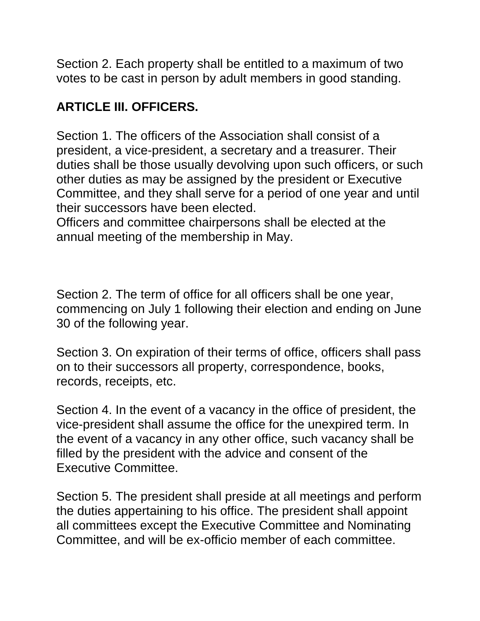Section 2. Each property shall be entitled to a maximum of two votes to be cast in person by adult members in good standing.

## **ARTICLE III. OFFICERS.**

Section 1. The officers of the Association shall consist of a president, a vice-president, a secretary and a treasurer. Their duties shall be those usually devolving upon such officers, or such other duties as may be assigned by the president or Executive Committee, and they shall serve for a period of one year and until their successors have been elected.

Officers and committee chairpersons shall be elected at the annual meeting of the membership in May.

Section 2. The term of office for all officers shall be one year, commencing on July 1 following their election and ending on June 30 of the following year.

Section 3. On expiration of their terms of office, officers shall pass on to their successors all property, correspondence, books, records, receipts, etc.

Section 4. In the event of a vacancy in the office of president, the vice-president shall assume the office for the unexpired term. In the event of a vacancy in any other office, such vacancy shall be filled by the president with the advice and consent of the Executive Committee.

Section 5. The president shall preside at all meetings and perform the duties appertaining to his office. The president shall appoint all committees except the Executive Committee and Nominating Committee, and will be ex-officio member of each committee.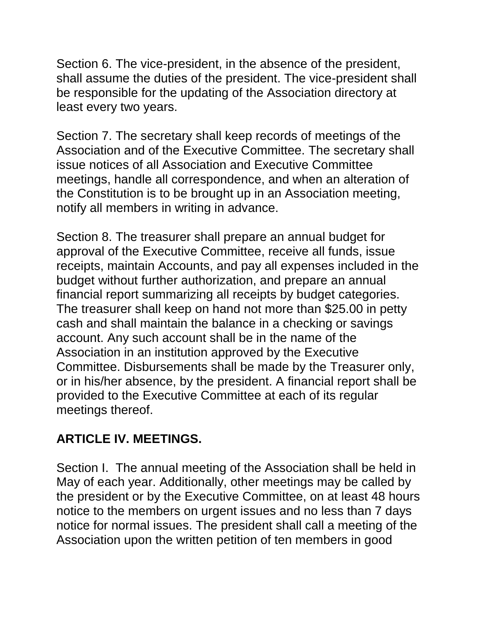Section 6. The vice-president, in the absence of the president, shall assume the duties of the president. The vice-president shall be responsible for the updating of the Association directory at least every two years.

Section 7. The secretary shall keep records of meetings of the Association and of the Executive Committee. The secretary shall issue notices of all Association and Executive Committee meetings, handle all correspondence, and when an alteration of the Constitution is to be brought up in an Association meeting, notify all members in writing in advance.

Section 8. The treasurer shall prepare an annual budget for approval of the Executive Committee, receive all funds, issue receipts, maintain Accounts, and pay all expenses included in the budget without further authorization, and prepare an annual financial report summarizing all receipts by budget categories. The treasurer shall keep on hand not more than \$25.00 in petty cash and shall maintain the balance in a checking or savings account. Any such account shall be in the name of the Association in an institution approved by the Executive Committee. Disbursements shall be made by the Treasurer only, or in his/her absence, by the president. A financial report shall be provided to the Executive Committee at each of its regular meetings thereof.

## **ARTICLE IV. MEETINGS.**

Section I. The annual meeting of the Association shall be held in May of each year. Additionally, other meetings may be called by the president or by the Executive Committee, on at least 48 hours notice to the members on urgent issues and no less than 7 days notice for normal issues. The president shall call a meeting of the Association upon the written petition of ten members in good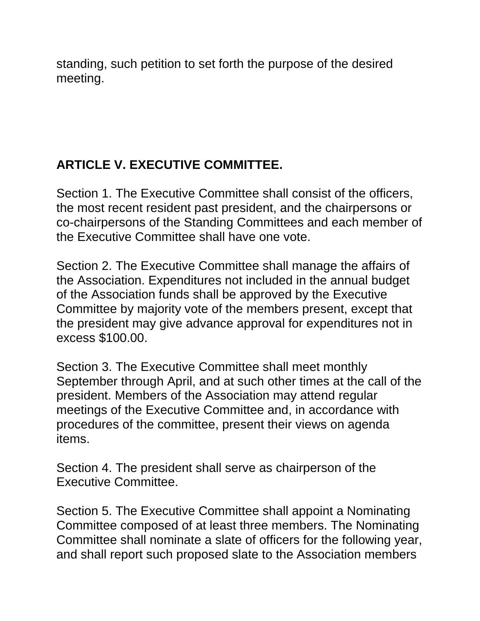standing, such petition to set forth the purpose of the desired meeting.

## **ARTICLE V. EXECUTIVE COMMITTEE.**

Section 1. The Executive Committee shall consist of the officers, the most recent resident past president, and the chairpersons or co-chairpersons of the Standing Committees and each member of the Executive Committee shall have one vote.

Section 2. The Executive Committee shall manage the affairs of the Association. Expenditures not included in the annual budget of the Association funds shall be approved by the Executive Committee by majority vote of the members present, except that the president may give advance approval for expenditures not in excess \$100.00.

Section 3. The Executive Committee shall meet monthly September through April, and at such other times at the call of the president. Members of the Association may attend regular meetings of the Executive Committee and, in accordance with procedures of the committee, present their views on agenda items.

Section 4. The president shall serve as chairperson of the Executive Committee.

Section 5. The Executive Committee shall appoint a Nominating Committee composed of at least three members. The Nominating Committee shall nominate a slate of officers for the following year, and shall report such proposed slate to the Association members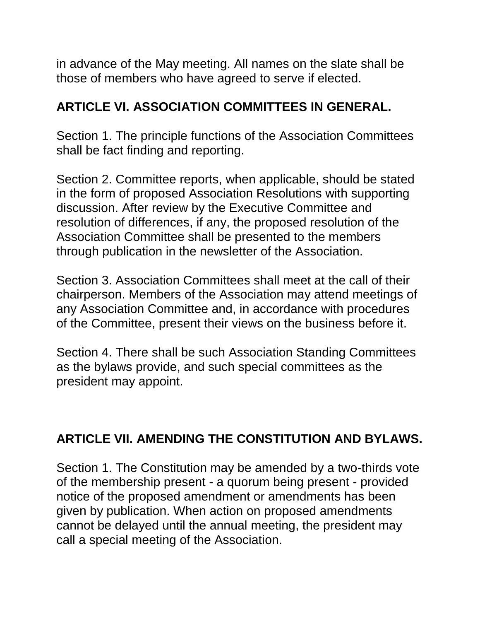in advance of the May meeting. All names on the slate shall be those of members who have agreed to serve if elected.

## **ARTICLE VI. ASSOCIATION COMMITTEES IN GENERAL.**

Section 1. The principle functions of the Association Committees shall be fact finding and reporting.

Section 2. Committee reports, when applicable, should be stated in the form of proposed Association Resolutions with supporting discussion. After review by the Executive Committee and resolution of differences, if any, the proposed resolution of the Association Committee shall be presented to the members through publication in the newsletter of the Association.

Section 3. Association Committees shall meet at the call of their chairperson. Members of the Association may attend meetings of any Association Committee and, in accordance with procedures of the Committee, present their views on the business before it.

Section 4. There shall be such Association Standing Committees as the bylaws provide, and such special committees as the president may appoint.

## **ARTICLE VII. AMENDING THE CONSTITUTION AND BYLAWS.**

Section 1. The Constitution may be amended by a two-thirds vote of the membership present - a quorum being present - provided notice of the proposed amendment or amendments has been given by publication. When action on proposed amendments cannot be delayed until the annual meeting, the president may call a special meeting of the Association.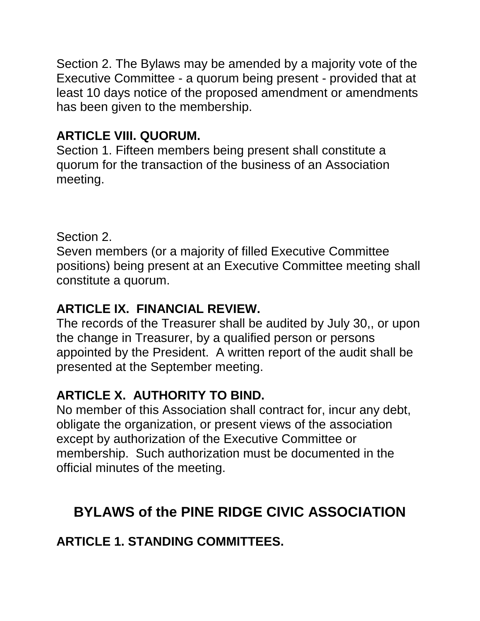Section 2. The Bylaws may be amended by a majority vote of the Executive Committee - a quorum being present - provided that at least 10 days notice of the proposed amendment or amendments has been given to the membership.

#### **ARTICLE VIII. QUORUM.**

Section 1. Fifteen members being present shall constitute a quorum for the transaction of the business of an Association meeting.

Section 2.

Seven members (or a majority of filled Executive Committee positions) being present at an Executive Committee meeting shall constitute a quorum.

## **ARTICLE IX. FINANCIAL REVIEW.**

The records of the Treasurer shall be audited by July 30,, or upon the change in Treasurer, by a qualified person or persons appointed by the President. A written report of the audit shall be presented at the September meeting.

## **ARTICLE X. AUTHORITY TO BIND.**

No member of this Association shall contract for, incur any debt, obligate the organization, or present views of the association except by authorization of the Executive Committee or membership. Such authorization must be documented in the official minutes of the meeting.

# **BYLAWS of the PINE RIDGE CIVIC ASSOCIATION**

## **ARTICLE 1. STANDING COMMITTEES.**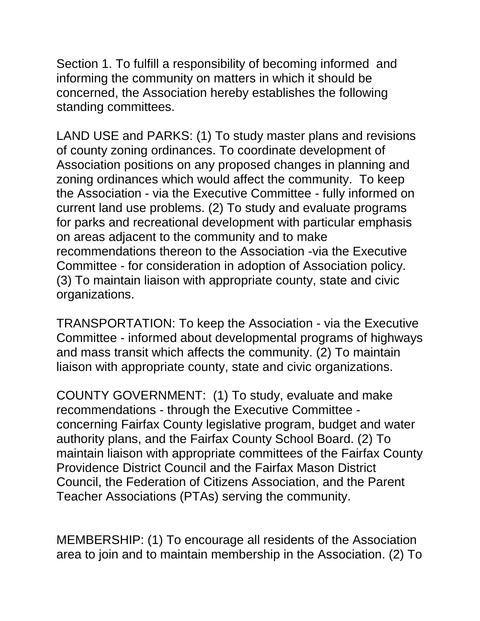Section 1. To fulfill a responsibility of becoming informed and informing the community on matters in which it should be concerned, the Association hereby establishes the following standing committees.

LAND USE and PARKS: (1) To study master plans and revisions of county zoning ordinances. To coordinate development of Association positions on any proposed changes in planning and zoning ordinances which would affect the community. To keep the Association - via the Executive Committee - fully informed on current land use problems. (2) To study and evaluate programs for parks and recreational development with particular emphasis on areas adjacent to the community and to make recommendations thereon to the Association -via the Executive Committee - for consideration in adoption of Association policy. (3) To maintain liaison with appropriate county, state and civic organizations.

TRANSPORTATION: To keep the Association - via the Executive Committee - informed about developmental programs of highways and mass transit which affects the community. (2) To maintain liaison with appropriate county, state and civic organizations.

COUNTY GOVERNMENT: (1) To study, evaluate and make recommendations - through the Executive Committee concerning Fairfax County legislative program, budget and water authority plans, and the Fairfax County School Board. (2) To maintain liaison with appropriate committees of the Fairfax County Providence District Council and the Fairfax Mason District Council, the Federation of Citizens Association, and the Parent Teacher Associations (PTAs) serving the community.

MEMBERSHIP: (1) To encourage all residents of the Association area to join and to maintain membership in the Association. (2) To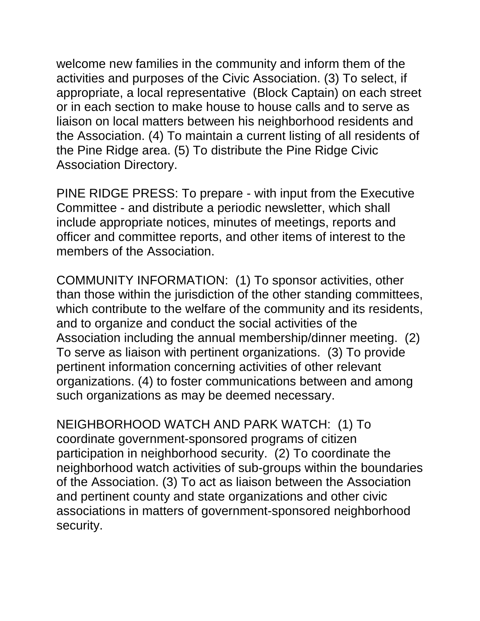welcome new families in the community and inform them of the activities and purposes of the Civic Association. (3) To select, if appropriate, a local representative (Block Captain) on each street or in each section to make house to house calls and to serve as liaison on local matters between his neighborhood residents and the Association. (4) To maintain a current listing of all residents of the Pine Ridge area. (5) To distribute the Pine Ridge Civic Association Directory.

PINE RIDGE PRESS: To prepare - with input from the Executive Committee - and distribute a periodic newsletter, which shall include appropriate notices, minutes of meetings, reports and officer and committee reports, and other items of interest to the members of the Association.

COMMUNITY INFORMATION: (1) To sponsor activities, other than those within the jurisdiction of the other standing committees, which contribute to the welfare of the community and its residents, and to organize and conduct the social activities of the Association including the annual membership/dinner meeting. (2) To serve as liaison with pertinent organizations. (3) To provide pertinent information concerning activities of other relevant organizations. (4) to foster communications between and among such organizations as may be deemed necessary.

NEIGHBORHOOD WATCH AND PARK WATCH: (1) To coordinate government-sponsored programs of citizen participation in neighborhood security. (2) To coordinate the neighborhood watch activities of sub-groups within the boundaries of the Association. (3) To act as liaison between the Association and pertinent county and state organizations and other civic associations in matters of government-sponsored neighborhood security.